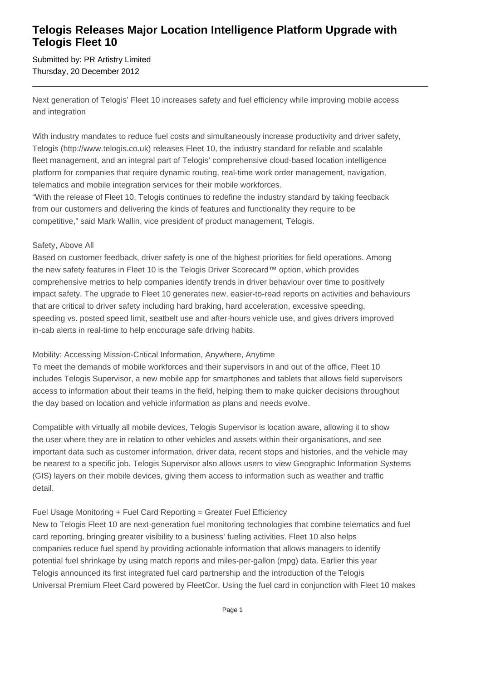## **Telogis Releases Major Location Intelligence Platform Upgrade with Telogis Fleet 10**

Submitted by: PR Artistry Limited Thursday, 20 December 2012

Next generation of Telogis' Fleet 10 increases safety and fuel efficiency while improving mobile access and integration

With industry mandates to reduce fuel costs and simultaneously increase productivity and driver safety, Telogis (http://www.telogis.co.uk) releases Fleet 10, the industry standard for reliable and scalable fleet management, and an integral part of Telogis' comprehensive cloud-based location intelligence platform for companies that require dynamic routing, real-time work order management, navigation, telematics and mobile integration services for their mobile workforces.

"With the release of Fleet 10, Telogis continues to redefine the industry standard by taking feedback from our customers and delivering the kinds of features and functionality they require to be competitive," said Mark Wallin, vice president of product management, Telogis.

#### Safety, Above All

Based on customer feedback, driver safety is one of the highest priorities for field operations. Among the new safety features in Fleet 10 is the Telogis Driver Scorecard™ option, which provides comprehensive metrics to help companies identify trends in driver behaviour over time to positively impact safety. The upgrade to Fleet 10 generates new, easier-to-read reports on activities and behaviours that are critical to driver safety including hard braking, hard acceleration, excessive speeding, speeding vs. posted speed limit, seatbelt use and after-hours vehicle use, and gives drivers improved in-cab alerts in real-time to help encourage safe driving habits.

### Mobility: Accessing Mission-Critical Information, Anywhere, Anytime

To meet the demands of mobile workforces and their supervisors in and out of the office, Fleet 10 includes Telogis Supervisor, a new mobile app for smartphones and tablets that allows field supervisors access to information about their teams in the field, helping them to make quicker decisions throughout the day based on location and vehicle information as plans and needs evolve.

Compatible with virtually all mobile devices, Telogis Supervisor is location aware, allowing it to show the user where they are in relation to other vehicles and assets within their organisations, and see important data such as customer information, driver data, recent stops and histories, and the vehicle may be nearest to a specific job. Telogis Supervisor also allows users to view Geographic Information Systems (GIS) layers on their mobile devices, giving them access to information such as weather and traffic detail.

### Fuel Usage Monitoring + Fuel Card Reporting = Greater Fuel Efficiency

New to Telogis Fleet 10 are next-generation fuel monitoring technologies that combine telematics and fuel card reporting, bringing greater visibility to a business' fueling activities. Fleet 10 also helps companies reduce fuel spend by providing actionable information that allows managers to identify potential fuel shrinkage by using match reports and miles-per-gallon (mpg) data. Earlier this year Telogis announced its first integrated fuel card partnership and the introduction of the Telogis Universal Premium Fleet Card powered by FleetCor. Using the fuel card in conjunction with Fleet 10 makes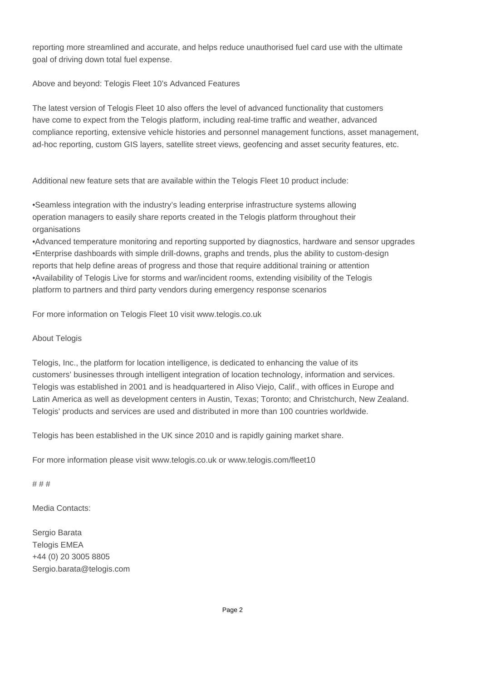reporting more streamlined and accurate, and helps reduce unauthorised fuel card use with the ultimate goal of driving down total fuel expense.

Above and beyond: Telogis Fleet 10's Advanced Features

The latest version of Telogis Fleet 10 also offers the level of advanced functionality that customers have come to expect from the Telogis platform, including real-time traffic and weather, advanced compliance reporting, extensive vehicle histories and personnel management functions, asset management, ad-hoc reporting, custom GIS layers, satellite street views, geofencing and asset security features, etc.

Additional new feature sets that are available within the Telogis Fleet 10 product include:

• Seamless integration with the industry's leading enterprise infrastructure systems allowing operation managers to easily share reports created in the Telogis platform throughout their organisations

• Advanced temperature monitoring and reporting supported by diagnostics, hardware and sensor upgrades

- Enterprise dashboards with simple drill-downs, graphs and trends, plus the ability to custom-design reports that help define areas of progress and those that require additional training or attention
- • Availability of Telogis Live for storms and war/incident rooms, extending visibility of the Telogis platform to partners and third party vendors during emergency response scenarios

For more information on Telogis Fleet 10 visit www.telogis.co.uk

About Telogis

Telogis, Inc., the platform for location intelligence, is dedicated to enhancing the value of its customers' businesses through intelligent integration of location technology, information and services. Telogis was established in 2001 and is headquartered in Aliso Viejo, Calif., with offices in Europe and Latin America as well as development centers in Austin, Texas; Toronto; and Christchurch, New Zealand. Telogis' products and services are used and distributed in more than 100 countries worldwide.

Telogis has been established in the UK since 2010 and is rapidly gaining market share.

For more information please visit www.telogis.co.uk or www.telogis.com/fleet10

# # #

Media Contacts:

Sergio Barata Telogis EMEA +44 (0) 20 3005 8805 Sergio.barata@telogis.com